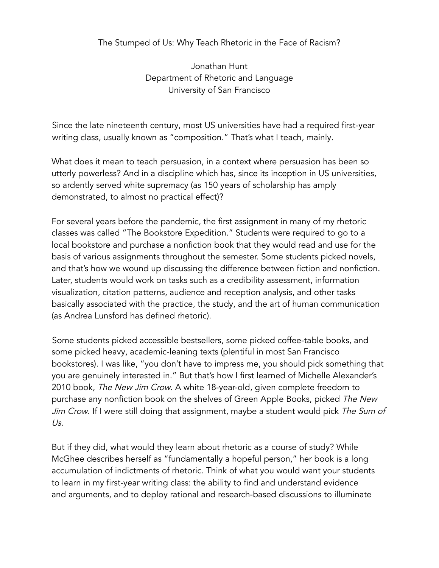## The Stumped of Us: Why Teach Rhetoric in the Face of Racism?

Jonathan Hunt Department of Rhetoric and Language University of San Francisco

Since the late nineteenth century, most US universities have had a required first-year writing class, usually known as "composition." That's what I teach, mainly.

What does it mean to teach persuasion, in a context where persuasion has been so utterly powerless? And in a discipline which has, since its inception in US universities, so ardently served white supremacy (as 150 years of scholarship has amply demonstrated, to almost no practical effect)?

For several years before the pandemic, the first assignment in many of my rhetoric classes was called "The Bookstore Expedition." Students were required to go to a local bookstore and purchase a nonfiction book that they would read and use for the basis of various assignments throughout the semester. Some students picked novels, and that's how we wound up discussing the difference between fiction and nonfiction. Later, students would work on tasks such as a credibility assessment, information visualization, citation patterns, audience and reception analysis, and other tasks basically associated with the practice, the study, and the art of human communication (as Andrea Lunsford has defined rhetoric).

Some students picked accessible bestsellers, some picked coffee-table books, and some picked heavy, academic-leaning texts (plentiful in most San Francisco bookstores). I was like, "you don't have to impress me, you should pick something that you are genuinely interested in." But that's how I first learned of Michelle Alexander's 2010 book, The New Jim Crow. A white 18-year-old, given complete freedom to purchase any nonfiction book on the shelves of Green Apple Books, picked The New Jim Crow. If I were still doing that assignment, maybe a student would pick The Sum of Us.

But if they did, what would they learn about rhetoric as a course of study? While McGhee describes herself as "fundamentally a hopeful person," her book is a long accumulation of indictments of rhetoric. Think of what you would want your students to learn in my first-year writing class: the ability to find and understand evidence and arguments, and to deploy rational and research-based discussions to illuminate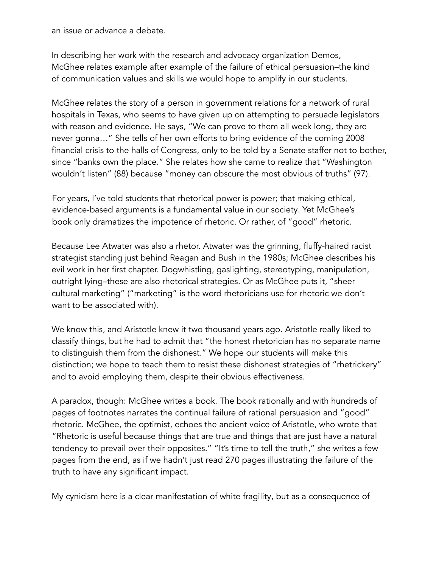an issue or advance a debate.

In describing her work with the research and advocacy organization Demos, McGhee relates example after example of the failure of ethical persuasion–the kind of communication values and skills we would hope to amplify in our students.

McGhee relates the story of a person in government relations for a network of rural hospitals in Texas, who seems to have given up on attempting to persuade legislators with reason and evidence. He says, "We can prove to them all week long, they are never gonna…" She tells of her own efforts to bring evidence of the coming 2008 financial crisis to the halls of Congress, only to be told by a Senate staffer not to bother, since "banks own the place." She relates how she came to realize that "Washington wouldn't listen" (88) because "money can obscure the most obvious of truths" (97).

For years, I've told students that rhetorical power is power; that making ethical, evidence-based arguments is a fundamental value in our society. Yet McGhee's book only dramatizes the impotence of rhetoric. Or rather, of "good" rhetoric.

Because Lee Atwater was also a rhetor. Atwater was the grinning, fluffy-haired racist strategist standing just behind Reagan and Bush in the 1980s; McGhee describes his evil work in her first chapter. Dogwhistling, gaslighting, stereotyping, manipulation, outright lying–these are also rhetorical strategies. Or as McGhee puts it, "sheer cultural marketing" ("marketing" is the word rhetoricians use for rhetoric we don't want to be associated with).

We know this, and Aristotle knew it two thousand years ago. Aristotle really liked to classify things, but he had to admit that "the honest rhetorician has no separate name to distinguish them from the dishonest." We hope our students will make this distinction; we hope to teach them to resist these dishonest strategies of "rhetrickery" and to avoid employing them, despite their obvious effectiveness.

A paradox, though: McGhee writes a book. The book rationally and with hundreds of pages of footnotes narrates the continual failure of rational persuasion and "good" rhetoric. McGhee, the optimist, echoes the ancient voice of Aristotle, who wrote that "Rhetoric is useful because things that are true and things that are just have a natural tendency to prevail over their opposites." "It's time to tell the truth," she writes a few pages from the end, as if we hadn't just read 270 pages illustrating the failure of the truth to have any significant impact.

My cynicism here is a clear manifestation of white fragility, but as a consequence of